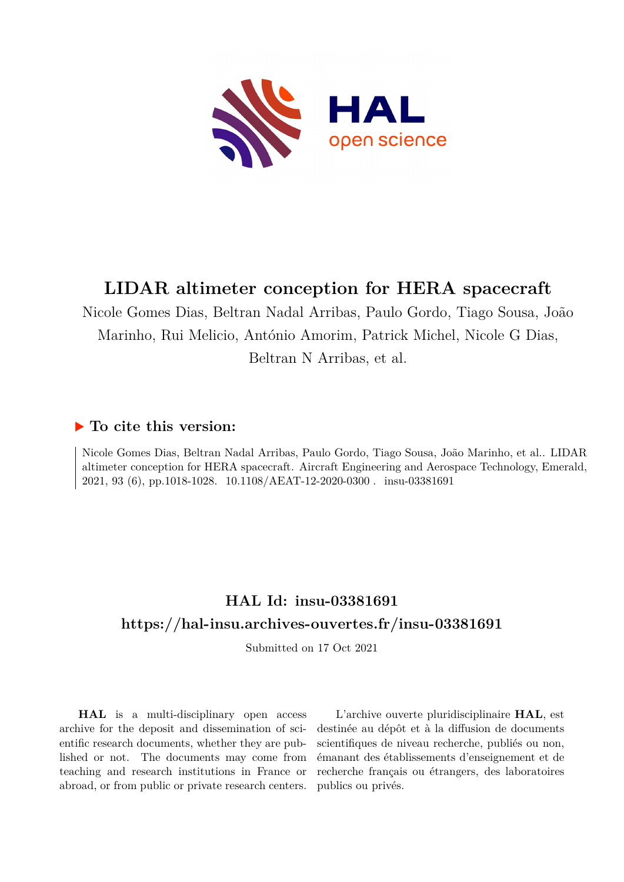

# **LIDAR altimeter conception for HERA spacecraft**

Nicole Gomes Dias, Beltran Nadal Arribas, Paulo Gordo, Tiago Sousa, João Marinho, Rui Melicio, António Amorim, Patrick Michel, Nicole G Dias, Beltran N Arribas, et al.

# **To cite this version:**

Nicole Gomes Dias, Beltran Nadal Arribas, Paulo Gordo, Tiago Sousa, João Marinho, et al.. LIDAR altimeter conception for HERA spacecraft. Aircraft Engineering and Aerospace Technology, Emerald, 2021, 93 (6), pp.1018-1028. 10.1108/AEAT-12-2020-0300. insu-03381691

# **HAL Id: insu-03381691 <https://hal-insu.archives-ouvertes.fr/insu-03381691>**

Submitted on 17 Oct 2021

**HAL** is a multi-disciplinary open access archive for the deposit and dissemination of scientific research documents, whether they are published or not. The documents may come from teaching and research institutions in France or abroad, or from public or private research centers.

L'archive ouverte pluridisciplinaire **HAL**, est destinée au dépôt et à la diffusion de documents scientifiques de niveau recherche, publiés ou non, émanant des établissements d'enseignement et de recherche français ou étrangers, des laboratoires publics ou privés.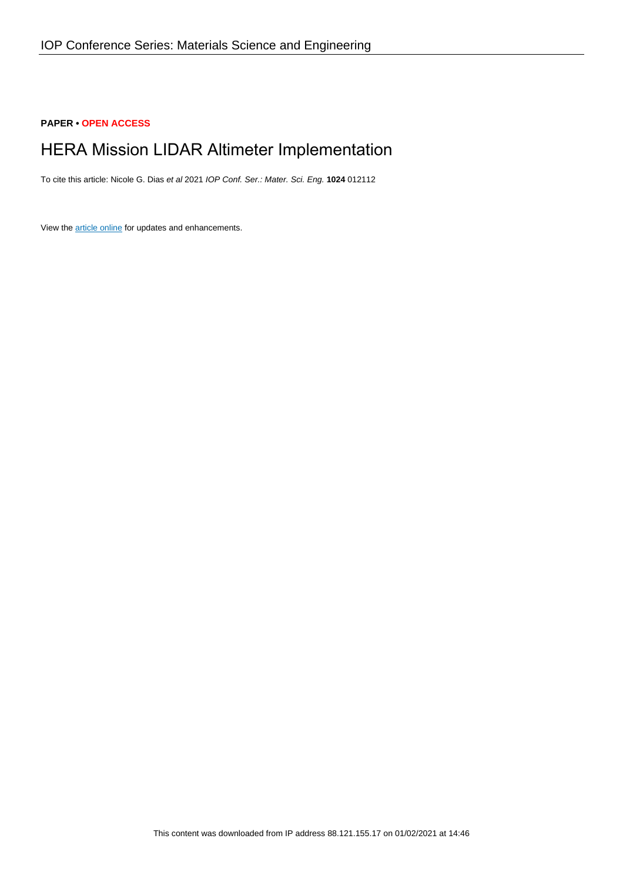# **PAPER • OPEN ACCESS**

# HERA Mission LIDAR Altimeter Implementation

To cite this article: Nicole G. Dias et al 2021 IOP Conf. Ser.: Mater. Sci. Eng. **1024** 012112

View the [article online](https://doi.org/10.1088/1757-899X/1024/1/012112) for updates and enhancements.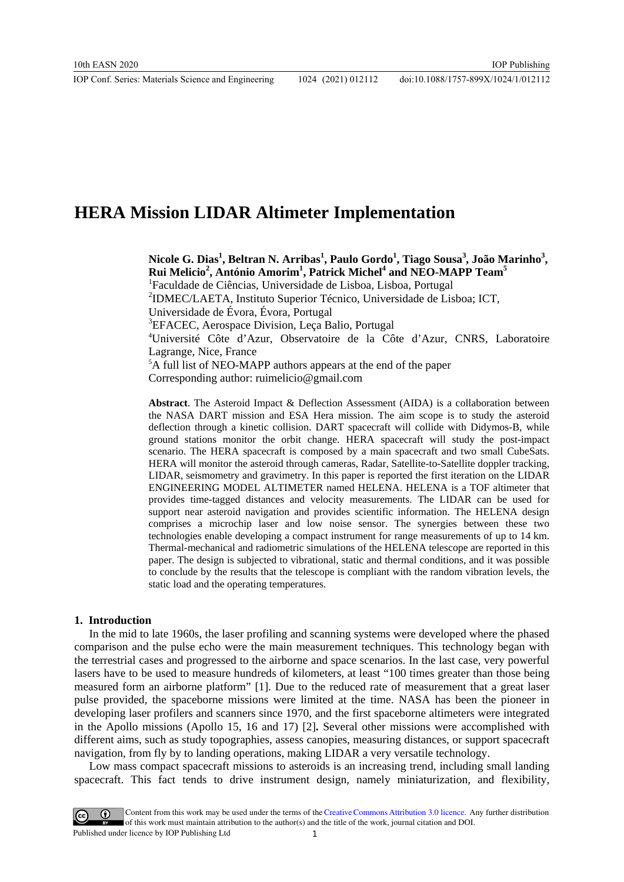# **HERA Mission LIDAR Altimeter Implementation**

**Nicole G. Dias1 , Beltran N. Arribas1 , Paulo Gordo1 , Tiago Sousa<sup>3</sup> , João Marinho<sup>3</sup> , Rui Melicio<sup>2</sup> , António Amorim1 , Patrick Michel<sup>4</sup> and NEO-MAPP Team5** <sup>1</sup>Faculdade de Ciências, Universidade de Lisboa, Lisboa, Portugal 2 IDMEC/LAETA, Instituto Superior Técnico, Universidade de Lisboa; ICT, Universidade de Évora, Évora, Portugal <sup>3</sup>EFACEC, Aerospace Division, Leça Balio, Portugal 4 Université Côte d'Azur, Observatoire de la Côte d'Azur, CNRS, Laboratoire Lagrange, Nice, France 5 A full list of NEO-MAPP authors appears at the end of the paper Corresponding author: ruimelicio@gmail.com

**Abstract**. The Asteroid Impact & Deflection Assessment (AIDA) is a collaboration between the NASA DART mission and ESA Hera mission. The aim scope is to study the asteroid deflection through a kinetic collision. DART spacecraft will collide with Didymos-B, while ground stations monitor the orbit change. HERA spacecraft will study the post-impact scenario. The HERA spacecraft is composed by a main spacecraft and two small CubeSats. HERA will monitor the asteroid through cameras, Radar, Satellite-to-Satellite doppler tracking, LIDAR, seismometry and gravimetry. In this paper is reported the first iteration on the LIDAR ENGINEERING MODEL ALTIMETER named HELENA. HELENA is a TOF altimeter that provides time-tagged distances and velocity measurements. The LIDAR can be used for support near asteroid navigation and provides scientific information. The HELENA design comprises a microchip laser and low noise sensor. The synergies between these two technologies enable developing a compact instrument for range measurements of up to 14 km. Thermal-mechanical and radiometric simulations of the HELENA telescope are reported in this paper. The design is subjected to vibrational, static and thermal conditions, and it was possible to conclude by the results that the telescope is compliant with the random vibration levels, the static load and the operating temperatures.

### **1. Introduction**

In the mid to late 1960s, the laser profiling and scanning systems were developed where the phased comparison and the pulse echo were the main measurement techniques. This technology began with the terrestrial cases and progressed to the airborne and space scenarios. In the last case, very powerful lasers have to be used to measure hundreds of kilometers, at least "100 times greater than those being measured form an airborne platform" [1]. Due to the reduced rate of measurement that a great laser pulse provided, the spaceborne missions were limited at the time. NASA has been the pioneer in developing laser profilers and scanners since 1970, and the first spaceborne altimeters were integrated in the Apollo missions (Apollo 15, 16 and 17) [2]**.** Several other missions were accomplished with different aims, such as study topographies, assess canopies, measuring distances, or support spacecraft navigation, from fly by to landing operations, making LIDAR a very versatile technology.

Low mass compact spacecraft missions to asteroids is an increasing trend, including small landing spacecraft. This fact tends to drive instrument design, namely miniaturization, and flexibility,

Content from this work may be used under the terms of theCreative Commons Attribution 3.0 licence. Any further distribution of this work must maintain attribution to the author(s) and the title of the work, journal citation and DOI. Published under licence by IOP Publishing Ltd 1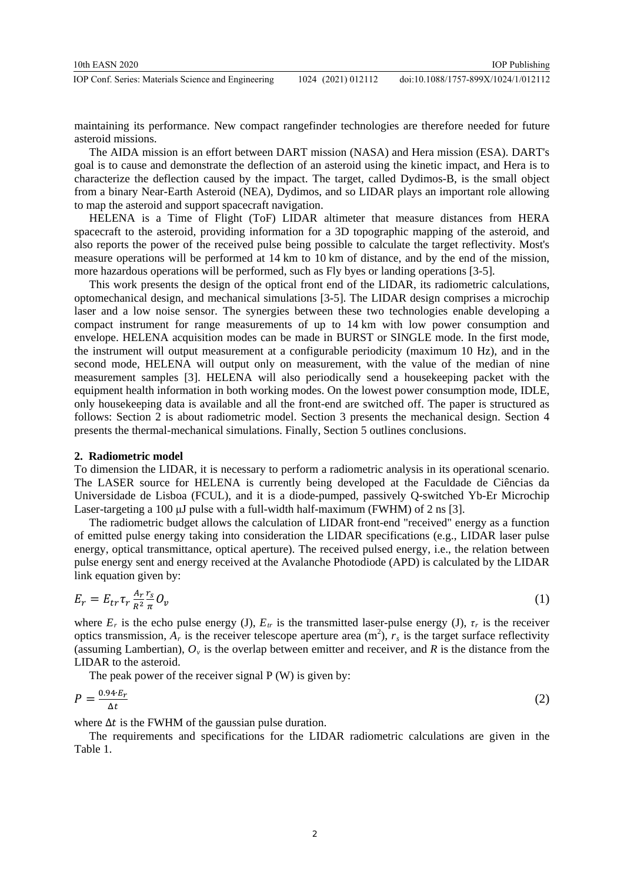maintaining its performance. New compact rangefinder technologies are therefore needed for future asteroid missions.

The AIDA mission is an effort between DART mission (NASA) and Hera mission (ESA). DART's goal is to cause and demonstrate the deflection of an asteroid using the kinetic impact, and Hera is to characterize the deflection caused by the impact. The target, called Dydimos-B, is the small object from a binary Near-Earth Asteroid (NEA), Dydimos, and so LIDAR plays an important role allowing to map the asteroid and support spacecraft navigation.

HELENA is a Time of Flight (ToF) LIDAR altimeter that measure distances from HERA spacecraft to the asteroid, providing information for a 3D topographic mapping of the asteroid, and also reports the power of the received pulse being possible to calculate the target reflectivity. Most's measure operations will be performed at 14 km to 10 km of distance, and by the end of the mission, more hazardous operations will be performed, such as Fly byes or landing operations [3-5].

This work presents the design of the optical front end of the LIDAR, its radiometric calculations, optomechanical design, and mechanical simulations [3-5]. The LIDAR design comprises a microchip laser and a low noise sensor. The synergies between these two technologies enable developing a compact instrument for range measurements of up to 14 km with low power consumption and envelope. HELENA acquisition modes can be made in BURST or SINGLE mode. In the first mode, the instrument will output measurement at a configurable periodicity (maximum 10 Hz), and in the second mode, HELENA will output only on measurement, with the value of the median of nine measurement samples [3]. HELENA will also periodically send a housekeeping packet with the equipment health information in both working modes. On the lowest power consumption mode, IDLE, only housekeeping data is available and all the front-end are switched off. The paper is structured as follows: Section 2 is about radiometric model. Section 3 presents the mechanical design. Section 4 presents the thermal-mechanical simulations. Finally, Section 5 outlines conclusions.

### **2. Radiometric model**

To dimension the LIDAR, it is necessary to perform a radiometric analysis in its operational scenario. The LASER source for HELENA is currently being developed at the Faculdade de Ciências da Universidade de Lisboa (FCUL), and it is a diode-pumped, passively Q-switched Yb-Er Microchip Laser-targeting a 100 μJ pulse with a full-width half-maximum (FWHM) of 2 ns [3].

The radiometric budget allows the calculation of LIDAR front-end "received" energy as a function of emitted pulse energy taking into consideration the LIDAR specifications (e.g., LIDAR laser pulse energy, optical transmittance, optical aperture). The received pulsed energy, i.e., the relation between pulse energy sent and energy received at the Avalanche Photodiode (APD) is calculated by the LIDAR link equation given by:

$$
E_r = E_{tr} \tau_r \frac{A_r}{R^2} \frac{r_s}{\pi} O_v \tag{1}
$$

where  $E_r$  is the echo pulse energy (J),  $E_{tr}$  is the transmitted laser-pulse energy (J),  $\tau_r$  is the receiver optics transmission,  $A_r$  is the receiver telescope aperture area  $(m^2)$ ,  $r_s$  is the target surface reflectivity (assuming Lambertian),  $O_y$  is the overlap between emitter and receiver, and R is the distance from the LIDAR to the asteroid.

The peak power of the receiver signal  $P(W)$  is given by:

$$
P = \frac{0.94 \cdot E_r}{\Delta t} \tag{2}
$$

where  $\Delta t$  is the FWHM of the gaussian pulse duration.

The requirements and specifications for the LIDAR radiometric calculations are given in the Table 1.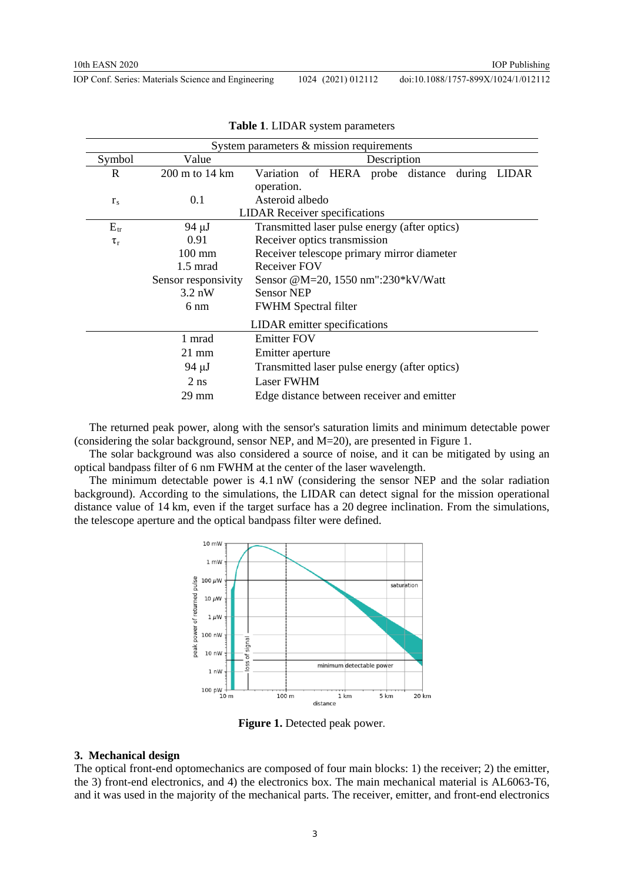| IOP Conf. Series: Materials Science and Engineering | 1024 (2021) 012112 | doi:10.1088/1757-899X/1024/1/012112 |
|-----------------------------------------------------|--------------------|-------------------------------------|
|                                                     |                    |                                     |

| System parameters $\&$ mission requirements |                     |                                               |  |  |  |  |
|---------------------------------------------|---------------------|-----------------------------------------------|--|--|--|--|
| Symbol                                      | Value               | Description                                   |  |  |  |  |
| R                                           | 200 m to 14 km      | Variation of HERA probe distance during LIDAR |  |  |  |  |
|                                             |                     | operation.                                    |  |  |  |  |
| $r_{\rm s}$                                 | 0.1                 | Asteroid albedo                               |  |  |  |  |
|                                             |                     | <b>LIDAR</b> Receiver specifications          |  |  |  |  |
| $E_{tr}$                                    | 94 µJ               | Transmitted laser pulse energy (after optics) |  |  |  |  |
| $\tau_{\rm r}$                              | 0.91                | Receiver optics transmission                  |  |  |  |  |
|                                             | $100 \text{ mm}$    | Receiver telescope primary mirror diameter    |  |  |  |  |
|                                             | $1.5 \text{ mrad}$  | Receiver FOV                                  |  |  |  |  |
|                                             | Sensor responsivity | Sensor @M=20, 1550 nm":230*kV/Watt            |  |  |  |  |
|                                             | $3.2 \text{ nW}$    | <b>Sensor NEP</b>                             |  |  |  |  |
|                                             | 6 nm                | <b>FWHM</b> Spectral filter                   |  |  |  |  |
| LIDAR emitter specifications                |                     |                                               |  |  |  |  |
|                                             | 1 mrad              | <b>Emitter FOV</b>                            |  |  |  |  |
|                                             | $21 \text{ mm}$     | Emitter aperture                              |  |  |  |  |
|                                             | 94 µJ               | Transmitted laser pulse energy (after optics) |  |  |  |  |
|                                             | $2$ ns              | <b>Laser FWHM</b>                             |  |  |  |  |
|                                             | 29 mm               | Edge distance between receiver and emitter    |  |  |  |  |

**Table 1**. LIDAR system parameters

The returned peak power, along with the sensor's saturation limits and minimum detectable power (considering the solar background, sensor NEP, and M=20), are presented in Figure 1.

The solar background was also considered a source of noise, and it can be mitigated by using an optical bandpass filter of 6 nm FWHM at the center of the laser wavelength.

The minimum detectable power is 4.1 nW (considering the sensor NEP and the solar radiation background). According to the simulations, the LIDAR can detect signal for the mission operational distance value of 14 km, even if the target surface has a 20 degree inclination. From the simulations, the telescope aperture and the optical bandpass filter were defined.



**Figure 1.** Detected peak power.

#### **3. Mechanical design**

The optical front-end optomechanics are composed of four main blocks: 1) the receiver; 2) the emitter, the 3) front-end electronics, and 4) the electronics box. The main mechanical material is AL6063-T6, and it was used in the majority of the mechanical parts. The receiver, emitter, and front-end electronics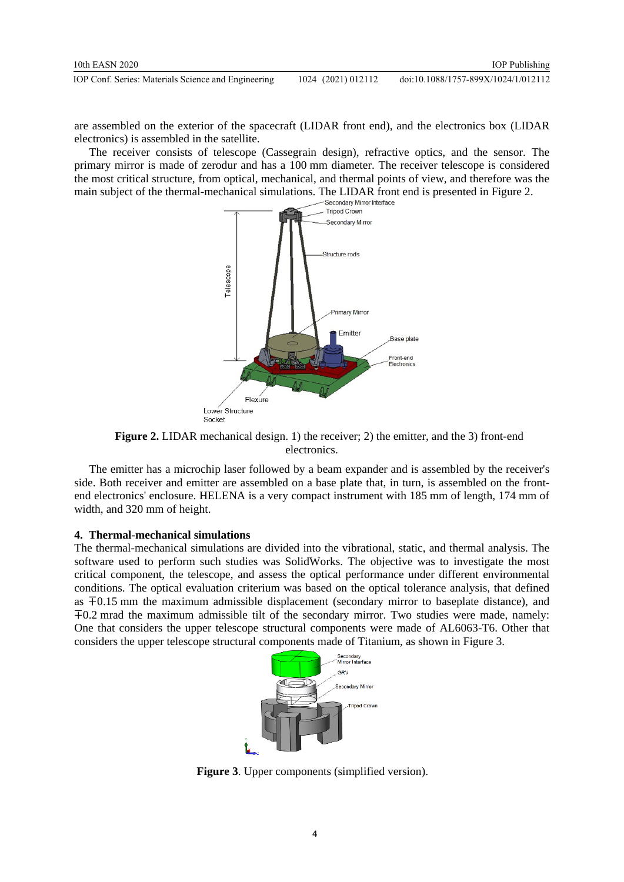are assembled on the exterior of the spacecraft (LIDAR front end), and the electronics box (LIDAR electronics) is assembled in the satellite.

The receiver consists of telescope (Cassegrain design), refractive optics, and the sensor. The primary mirror is made of zerodur and has a 100 mm diameter. The receiver telescope is considered the most critical structure, from optical, mechanical, and thermal points of view, and therefore was the main subject of the thermal-mechanical simulations. The LIDAR front end is presented in Figure 2.<br>Secondary Mirror Interface



**Figure 2.** LIDAR mechanical design. 1) the receiver; 2) the emitter, and the 3) front-end electronics.

The emitter has a microchip laser followed by a beam expander and is assembled by the receiver's side. Both receiver and emitter are assembled on a base plate that, in turn, is assembled on the frontend electronics' enclosure. HELENA is a very compact instrument with 185 mm of length, 174 mm of width, and 320 mm of height.

## **4. Thermal-mechanical simulations**

The thermal-mechanical simulations are divided into the vibrational, static, and thermal analysis. The software used to perform such studies was SolidWorks. The objective was to investigate the most critical component, the telescope, and assess the optical performance under different environmental conditions. The optical evaluation criterium was based on the optical tolerance analysis, that defined as ∓0.15 mm the maximum admissible displacement (secondary mirror to baseplate distance), and ∓0.2 mrad the maximum admissible tilt of the secondary mirror. Two studies were made, namely: One that considers the upper telescope structural components were made of AL6063-T6. Other that considers the upper telescope structural components made of Titanium, as shown in Figure 3.



**Figure 3**. Upper components (simplified version).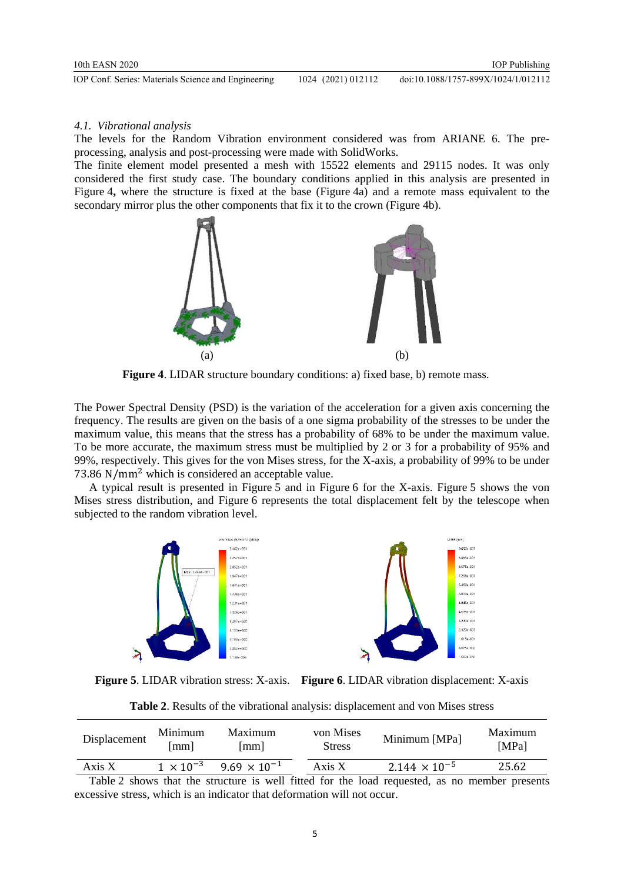#### *4.1. Vibrational analysis*

The levels for the Random Vibration environment considered was from ARIANE 6. The preprocessing, analysis and post-processing were made with SolidWorks.

The finite element model presented a mesh with 15522 elements and 29115 nodes. It was only considered the first study case. The boundary conditions applied in this analysis are presented in Figure 4**,** where the structure is fixed at the base (Figure 4a) and a remote mass equivalent to the secondary mirror plus the other components that fix it to the crown (Figure 4b).



**Figure 4.** LIDAR structure boundary conditions: a) fixed base, b) remote mass.

The Power Spectral Density (PSD) is the variation of the acceleration for a given axis concerning the frequency. The results are given on the basis of a one sigma probability of the stresses to be under the maximum value, this means that the stress has a probability of 68% to be under the maximum value. To be more accurate, the maximum stress must be multiplied by 2 or 3 for a probability of 95% and 99%, respectively. This gives for the von Mises stress, for the X-axis, a probability of 99% to be under 73.86 N/mm<sup>2</sup> which is considered an acceptable value.

A typical result is presented in Figure 5 and in Figure 6 for the X-axis. Figure 5 shows the von Mises stress distribution, and Figure 6 represents the total displacement felt by the telescope when subjected to the random vibration level.



**Figure 5**. LIDAR vibration stress: X-axis. **Figure 6**. LIDAR vibration displacement: X-axis

**Table 2**. Results of the vibrational analysis: displacement and von Mises stress

| Displacement | Minimum<br>mm I    | Maximum<br>Imm I      | von Mises<br><b>Stress</b> | Minimum [MPa]          | Maximum<br>[MPa] |
|--------------|--------------------|-----------------------|----------------------------|------------------------|------------------|
| Axis X       | $1 \times 10^{-3}$ | $9.69 \times 10^{-1}$ | Axis X                     | $2.144 \times 10^{-5}$ | 25.62            |

Table 2 shows that the structure is well fitted for the load requested, as no member presents excessive stress, which is an indicator that deformation will not occur.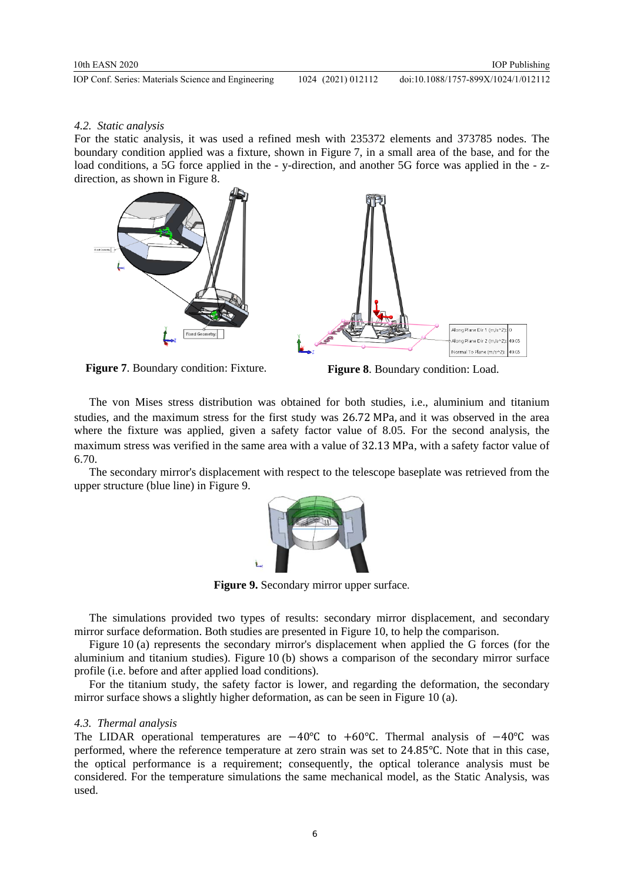# <span id="page-7-0"></span>*4.2. Static analysis*

For the static analysis, it was used a refined mesh with 235372 elements and 373785 nodes. The boundary condition applied was a fixture, shown in Figure 7, in a small area of the base, and for the load conditions, a 5G force applied in the - y-direction, and another 5G force was applied in the - zdirection, as shown in Figure 8.





The von Mises stress distribution was obtained for both studies, i.e., aluminium and titanium studies, and the maximum stress for the first study was 26.72 MPa, and it was observed in the area where the fixture was applied, given a safety factor value of 8.05. For the second analysis, the maximum stress was verified in the same area with a value of 32.13 MPa, with a safety factor value of 6.70.

The secondary mirror's displacement with respect to the telescope baseplate was retrieved from the upper structure (blue line) in Figure 9.



**Figure 9.** Secondary mirror upper surface.

The simulations provided two types of results: secondary mirror displacement, and secondary mirror surface deformation. Both studies are presented in Figure 10, to help the comparison.

Figure 10 (a) represents the secondary mirror's displacement when applied the G forces (for the aluminium and titanium studies). Figure 10 (b) shows a comparison of the secondary mirror surface profile (i.e. before and after applied load conditions).

For the titanium study, the safety factor is lower, and regarding the deformation, the secondary mirror surface shows a slightly higher deformation, as can be seen in Figure 10 (a).

# *4.3. Thermal analysis*

The LIDAR operational temperatures are  $-40^{\circ}$ C to  $+60^{\circ}$ C. Thermal analysis of  $-40^{\circ}$ C was performed, where the reference temperature at zero strain was set to 24.85℃. Note that in this case, the optical performance is a requirement; consequently, the optical tolerance analysis must be considered. For the temperature simulations the same mechanical model, as the [Static Analysis,](#page-7-0) was used.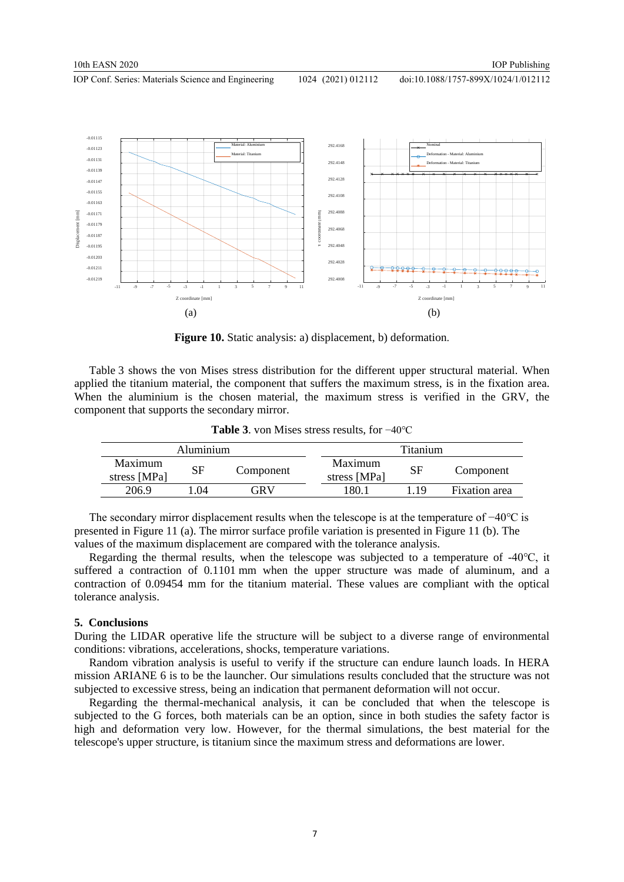doi:10.1088/1757-899X/1024/1/012112



**Figure 10.** Static analysis: a) displacement, b) deformation.

Table 3 shows the von Mises stress distribution for the different upper structural material. When applied the titanium material, the component that suffers the maximum stress, is in the fixation area. When the aluminium is the chosen material, the maximum stress is verified in the GRV, the component that supports the secondary mirror.

| <b>Table 3.</b> von Mises stress results, for $-40^{\circ}$ C |  |  |
|---------------------------------------------------------------|--|--|
|---------------------------------------------------------------|--|--|

|                         | Aluminium |           |                         | <b>Titanium</b> |               |
|-------------------------|-----------|-----------|-------------------------|-----------------|---------------|
| Maximum<br>stress [MPa] | SF        | Component | Maximum<br>stress [MPa] | SF              | Component     |
| 206.9                   | .04       | GRV       | 180. .                  | 19              | Fixation area |

The secondary mirror displacement results when the telescope is at the temperature of −40°C is presented in Figure 11 (a). The mirror surface profile variation is presented in Figure 11 (b). The values of the maximum displacement are compared with the tolerance analysis.

Regarding the thermal results, when the telescope was subjected to a temperature of -40℃, it suffered a contraction of 0.1101 mm when the upper structure was made of aluminum, and a contraction of 0.09454 mm for the titanium material. These values are compliant with the optical tolerance analysis.

#### **5. Conclusions**

During the LIDAR operative life the structure will be subject to a diverse range of environmental conditions: vibrations, accelerations, shocks, temperature variations.

Random vibration analysis is useful to verify if the structure can endure launch loads. In HERA mission ARIANE 6 is to be the launcher. Our simulations results concluded that the structure was not subjected to excessive stress, being an indication that permanent deformation will not occur.

Regarding the thermal-mechanical analysis, it can be concluded that when the telescope is subjected to the G forces, both materials can be an option, since in both studies the safety factor is high and deformation very low. However, for the thermal simulations, the best material for the telescope's upper structure, is titanium since the maximum stress and deformations are lower.